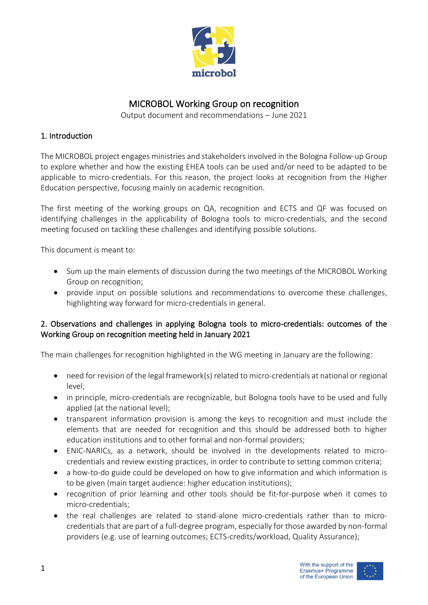

# MICROBOL Working Group on recognition

Output document and recommendations – June 2021

## 1. Introduction

The MICROBOL project engages ministries and stakeholders involved in the Bologna Follow-up Group to explore whether and how the existing EHEA tools can be used and/or need to be adapted to be applicable to micro-credentials. For this reason, the project looks at recognition from the Higher Education perspective, focusing mainly on academic recognition.

The first meeting of the working groups on QA, recognition and ECTS and QF was focused on identifying challenges in the applicability of Bologna tools to micro-credentials, and the second meeting focused on tackling these challenges and identifying possible solutions.

This document is meant to:

- Sum up the main elements of discussion during the two meetings of the MICROBOL Working Group on recognition;
- provide input on possible solutions and recommendations to overcome these challenges, highlighting way forward for micro-credentials in general.

## 2. Observations and challenges in applying Bologna tools to micro-credentials: outcomes of the Working Group on recognition meeting held in January 2021

The main challenges for recognition highlighted in the WG meeting in January are the following:

- need for revision of the legal framework(s) related to micro-credentials at national or regional level;
- in principle, micro-credentials are recognizable, but Bologna tools have to be used and fully applied (at the national level);
- transparent information provision is among the keys to recognition and must include the elements that are needed for recognition and this should be addressed both to higher education institutions and to other formal and non-formal providers;
- ENIC-NARICs, as a network, should be involved in the developments related to microcredentials and review existing practices, in order to contribute to setting common criteria;
- a how-to-do guide could be developed on how to give information and which information is to be given (main target audience: higher education institutions);
- recognition of prior learning and other tools should be fit-for-purpose when it comes to micro-credentials;
- the real challenges are related to stand-alone micro-credentials rather than to microcredentials that are part of a full-degree program, especially for those awarded by non-formal providers (e.g. use of learning outcomes; ECTS-credits/workload, Quality Assurance);

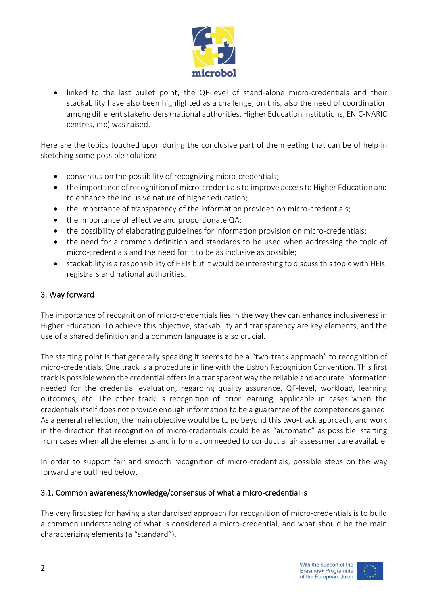

• linked to the last bullet point, the QF-level of stand-alone micro-credentials and their stackability have also been highlighted as a challenge; on this, also the need of coordination among different stakeholders(national authorities, Higher Education Institutions, ENIC-NARIC centres, etc) was raised.

Here are the topics touched upon during the conclusive part of the meeting that can be of help in sketching some possible solutions:

- consensus on the possibility of recognizing micro-credentials;
- the importance of recognition of micro-credentials to improve access to Higher Education and to enhance the inclusive nature of higher education;
- the importance of transparency of the information provided on micro-credentials;
- the importance of effective and proportionate QA;
- the possibility of elaborating guidelines for information provision on micro-credentials;
- the need for a common definition and standards to be used when addressing the topic of micro-credentials and the need for it to be as inclusive as possible;
- stackability is a responsibility of HEIs but it would be interesting to discuss this topic with HEIs, registrars and national authorities.

## 3. Way forward

The importance of recognition of micro-credentials lies in the way they can enhance inclusiveness in Higher Education. To achieve this objective, stackability and transparency are key elements, and the use of a shared definition and a common language is also crucial.

The starting point is that generally speaking it seems to be a "two-track approach" to recognition of micro-credentials. One track is a procedure in line with the Lisbon Recognition Convention. This first track is possible when the credential offersin a transparent way the reliable and accurate information needed for the credential evaluation, regarding quality assurance, QF-level, workload, learning outcomes, etc. The other track is recognition of prior learning, applicable in cases when the credentials itself does not provide enough information to be a guarantee of the competences gained. As a general reflection, the main objective would be to go beyond this two-track approach, and work in the direction that recognition of micro-credentials could be as "automatic" as possible, starting from cases when all the elements and information needed to conduct a fair assessment are available.

In order to support fair and smooth recognition of micro-credentials, possible steps on the way forward are outlined below.

### 3.1. Common awareness/knowledge/consensus of what a micro-credential is

The very first step for having a standardised approach for recognition of micro-credentials is to build a common understanding of what is considered a micro-credential, and what should be the main characterizing elements (a "standard").



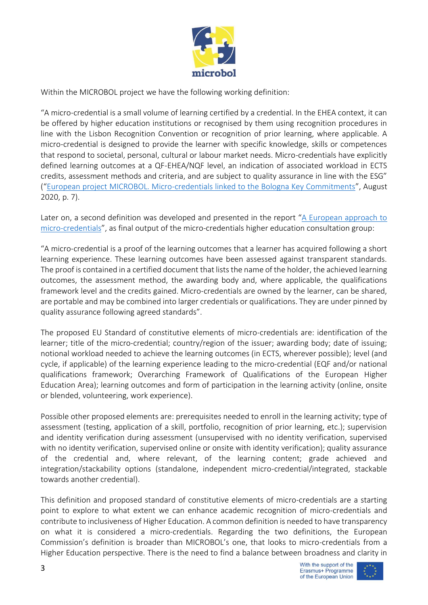

Within the MICROBOL project we have the following working definition:

"A micro-credential is a small volume of learning certified by a credential. In the EHEA context, it can be offered by higher education institutions or recognised by them using recognition procedures in line with the Lisbon Recognition Convention or recognition of prior learning, where applicable. A micro-credential is designed to provide the learner with specific knowledge, skills or competences that respond to societal, personal, cultural or labour market needs. Micro-credentials have explicitly defined learning outcomes at a QF-EHEA/NQF level, an indication of associated workload in ECTS credits, assessment methods and criteria, and are subject to quality assurance in line with the ESG" ("[European project MICROBOL. Micro-credentials linked to the Bologna Key Commitments](https://microcredentials.eu/wp-content/uploads/sites/20/2021/04/MICROBOL-Desk-Research-Report.pdf)", August 2020, p. 7).

Later on, a second definition was developed and presented in the report "A European approach to [micro-credentials](https://ec.europa.eu/education/education-in-the-eu/european-education-area/a-european-approach-to-micro-credentials_en)", as final output of the micro-credentials higher education consultation group:

"A micro-credential is a proof of the learning outcomes that a learner has acquired following a short learning experience. These learning outcomes have been assessed against transparent standards. The proof is contained in a certified document that lists the name of the holder, the achieved learning outcomes, the assessment method, the awarding body and, where applicable, the qualifications framework level and the credits gained. Micro-credentials are owned by the learner, can be shared, are portable and may be combined into larger credentials or qualifications. They are under pinned by quality assurance following agreed standards".

The proposed EU Standard of constitutive elements of micro-credentials are: identification of the learner; title of the micro-credential; country/region of the issuer; awarding body; date of issuing; notional workload needed to achieve the learning outcomes (in ECTS, wherever possible); level (and cycle, if applicable) of the learning experience leading to the micro-credential (EQF and/or national qualifications framework; Overarching Framework of Qualifications of the European Higher Education Area); learning outcomes and form of participation in the learning activity (online, onsite or blended, volunteering, work experience).

Possible other proposed elements are: prerequisites needed to enroll in the learning activity; type of assessment (testing, application of a skill, portfolio, recognition of prior learning, etc.); supervision and identity verification during assessment (unsupervised with no identity verification, supervised with no identity verification, supervised online or onsite with identity verification); quality assurance of the credential and, where relevant, of the learning content; grade achieved and integration/stackability options (standalone, independent micro-credential/integrated, stackable towards another credential).

This definition and proposed standard of constitutive elements of micro-credentials are a starting point to explore to what extent we can enhance academic recognition of micro-credentials and contribute to inclusiveness of Higher Education. A common definition is needed to have transparency on what it is considered a micro-credentials. Regarding the two definitions, the European Commission's definition is broader than MICROBOL's one, that looks to micro-credentials from a Higher Education perspective. There is the need to find a balance between broadness and clarity in



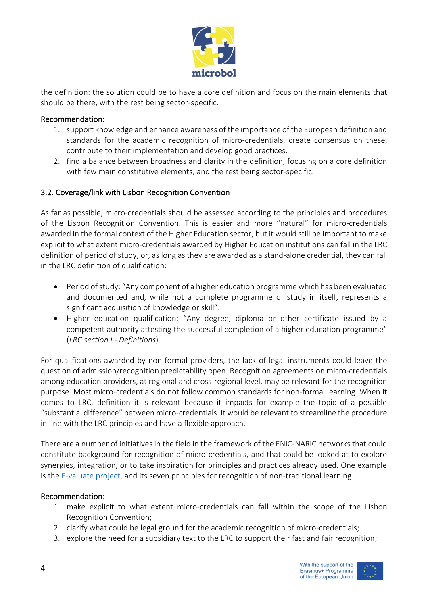

the definition: the solution could be to have a core definition and focus on the main elements that should be there, with the rest being sector-specific.

### Recommendation:

- 1. support knowledge and enhance awareness of the importance of the European definition and standards for the academic recognition of micro-credentials, create consensus on these, contribute to their implementation and develop good practices.
- 2. find a balance between broadness and clarity in the definition, focusing on a core definition with few main constitutive elements, and the rest being sector-specific.

### 3.2. Coverage/link with Lisbon Recognition Convention

As far as possible, micro-credentials should be assessed according to the principles and procedures of the Lisbon Recognition Convention. This is easier and more "natural" for micro-credentials awarded in the formal context of the Higher Education sector, but it would still be important to make explicit to what extent micro-credentials awarded by Higher Education institutions can fall in the LRC definition of period of study, or, as long as they are awarded as a stand-alone credential, they can fall in the LRC definition of qualification:

- Period of study: "Any component of a higher education programme which has been evaluated and documented and, while not a complete programme of study in itself, represents a significant acquisition of knowledge or skill".
- Higher education qualification: "Any degree, diploma or other certificate issued by a competent authority attesting the successful completion of a higher education programme" (*LRC section I - Definitions*).

For qualifications awarded by non-formal providers, the lack of legal instruments could leave the question of admission/recognition predictability open. Recognition agreements on micro-credentials among education providers, at regional and cross-regional level, may be relevant for the recognition purpose. Most micro-credentials do not follow common standards for non-formal learning. When it comes to LRC, definition it is relevant because it impacts for example the topic of a possible "substantial difference" between micro-credentials. It would be relevant to streamline the procedure in line with the LRC principles and have a flexible approach.

There are a number of initiatives in the field in the framework of the ENIC-NARIC networks that could constitute background for recognition of micro-credentials, and that could be looked at to explore synergies, integration, or to take inspiration for principles and practices already used. One example is the [E-valuate project,](https://www.nuffic.nl/en/subjects/recognition-projects/e-valuate-concluded) and its seven principles for recognition of non-traditional learning.

### Recommendation:

- 1. make explicit to what extent micro-credentials can fall within the scope of the Lisbon Recognition Convention;
- 2. clarify what could be legal ground for the academic recognition of micro-credentials;
- 3. explore the need for a subsidiary text to the LRC to support their fast and fair recognition;

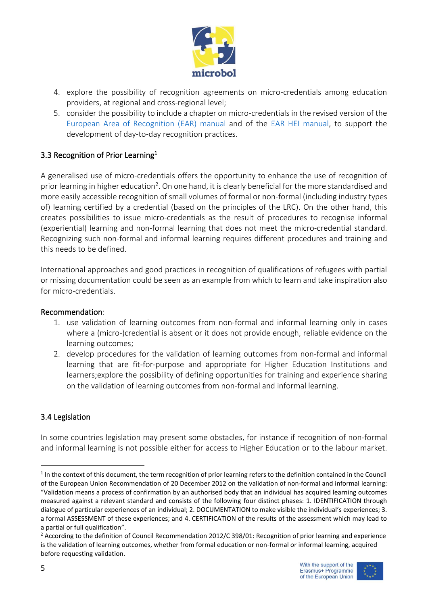

- 4. explore the possibility of recognition agreements on micro-credentials among education providers, at regional and cross-regional level;
- 5. consider the possibility to include a chapter on micro-credentials in the revised version of the [European Area of Recognition \(EAR\)](http://ear.enic-naric.net/emanual/) manual and of the [EAR HEI manual,](https://www.nuffic.nl/sites/default/files/2020-08/the-european-recognition-manual-for-higher-education-institutions%20%281%29.pdf) to support the development of day-to-day recognition practices.

## 3.3 Recognition of Prior Learning<sup>1</sup>

A generalised use of micro-credentials offers the opportunity to enhance the use of recognition of prior learning in higher education<sup>2</sup>. On one hand, it is clearly beneficial for the more standardised and more easily accessible recognition of small volumes of formal or non-formal (including industry types of) learning certified by a credential (based on the principles of the LRC). On the other hand, this creates possibilities to issue micro-credentials as the result of procedures to recognise informal (experiential) learning and non-formal learning that does not meet the micro-credential standard. Recognizing such non-formal and informal learning requires different procedures and training and this needs to be defined.

International approaches and good practices in recognition of qualifications of refugees with partial or missing documentation could be seen as an example from which to learn and take inspiration also for micro-credentials.

### Recommendation:

- 1. use validation of learning outcomes from non-formal and informal learning only in cases where a (micro-)credential is absent or it does not provide enough, reliable evidence on the learning outcomes;
- 2. develop procedures for the validation of learning outcomes from non-formal and informal learning that are fit-for-purpose and appropriate for Higher Education Institutions and learners;explore the possibility of defining opportunities for training and experience sharing on the validation of learning outcomes from non-formal and informal learning.

## 3.4 Legislation

In some countries legislation may present some obstacles, for instance if recognition of non-formal and informal learning is not possible either for access to Higher Education or to the labour market.



<sup>&</sup>lt;sup>1</sup> In the context of this document, the term recognition of prior learning refers to the definition contained in the Council of the European Union Recommendation of 20 December 2012 on the validation of non-formal and informal learning: "Validation means a process of confirmation by an authorised body that an individual has acquired learning outcomes measured against a relevant standard and consists of the following four distinct phases: 1. IDENTIFICATION through dialogue of particular experiences of an individual; 2. DOCUMENTATION to make visible the individual's experiences; 3. a formal ASSESSMENT of these experiences; and 4. CERTIFICATION of the results of the assessment which may lead to a partial or full qualification".

<sup>&</sup>lt;sup>2</sup> According to the definition of Council Recommendation 2012/C 398/01: Recognition of prior learning and experience is the validation of learning outcomes, whether from formal education or non-formal or informal learning, acquired before requesting validation.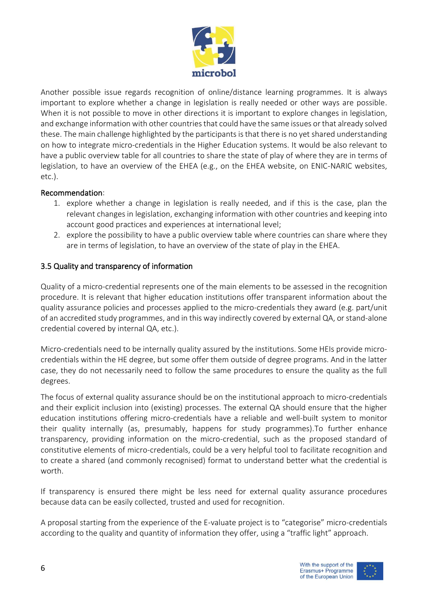

Another possible issue regards recognition of online/distance learning programmes. It is always important to explore whether a change in legislation is really needed or other ways are possible. When it is not possible to move in other directions it is important to explore changes in legislation, and exchange information with other countries that could have the same issues or that already solved these. The main challenge highlighted by the participants is that there is no yet shared understanding on how to integrate micro-credentials in the Higher Education systems. It would be also relevant to have a public overview table for all countries to share the state of play of where they are in terms of legislation, to have an overview of the EHEA (e.g., on the EHEA website, on ENIC-NARIC websites, etc.).

### Recommendation:

- 1. explore whether a change in legislation is really needed, and if this is the case, plan the relevant changes in legislation, exchanging information with other countries and keeping into account good practices and experiences at international level;
- 2. explore the possibility to have a public overview table where countries can share where they are in terms of legislation, to have an overview of the state of play in the EHEA.

## 3.5 Quality and transparency of information

Quality of a micro-credential represents one of the main elements to be assessed in the recognition procedure. It is relevant that higher education institutions offer transparent information about the quality assurance policies and processes applied to the micro-credentials they award (e.g. part/unit of an accredited study programmes, and in this way indirectly covered by external QA, or stand-alone credential covered by internal QA, etc.).

Micro-credentials need to be internally quality assured by the institutions. Some HEIs provide microcredentials within the HE degree, but some offer them outside of degree programs. And in the latter case, they do not necessarily need to follow the same procedures to ensure the quality as the full degrees.

The focus of external quality assurance should be on the institutional approach to micro-credentials and their explicit inclusion into (existing) processes. The external QA should ensure that the higher education institutions offering micro-credentials have a reliable and well-built system to monitor their quality internally (as, presumably, happens for study programmes).To further enhance transparency, providing information on the micro-credential, such as the proposed standard of constitutive elements of micro-credentials, could be a very helpful tool to facilitate recognition and to create a shared (and commonly recognised) format to understand better what the credential is worth.

If transparency is ensured there might be less need for external quality assurance procedures because data can be easily collected, trusted and used for recognition.

A proposal starting from the experience of the E-valuate project is to "categorise" micro-credentials according to the quality and quantity of information they offer, using a "traffic light" approach.





6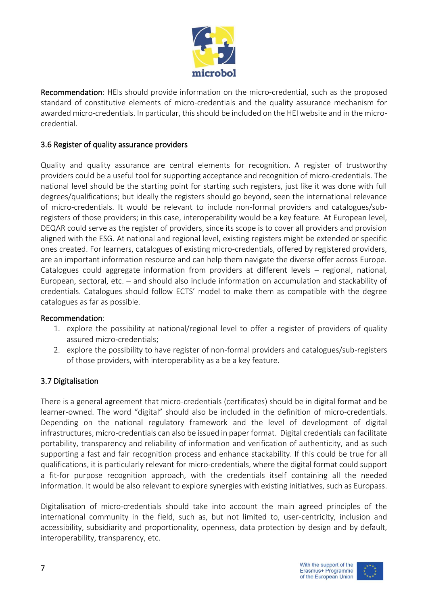

Recommendation: HEIs should provide information on the micro-credential, such as the proposed standard of constitutive elements of micro-credentials and the quality assurance mechanism for awarded micro-credentials. In particular, this should be included on the HEI website and in the microcredential.

## 3.6 Register of quality assurance providers

Quality and quality assurance are central elements for recognition. A register of trustworthy providers could be a useful tool for supporting acceptance and recognition of micro-credentials. The national level should be the starting point for starting such registers, just like it was done with full degrees/qualifications; but ideally the registers should go beyond, seen the international relevance of micro-credentials. It would be relevant to include non-formal providers and catalogues/subregisters of those providers; in this case, interoperability would be a key feature. At European level, DEQAR could serve as the register of providers, since its scope is to cover all providers and provision aligned with the ESG. At national and regional level, existing registers might be extended or specific ones created. For learners, catalogues of existing micro-credentials, offered by registered providers, are an important information resource and can help them navigate the diverse offer across Europe. Catalogues could aggregate information from providers at different levels – regional, national, European, sectoral, etc. – and should also include information on accumulation and stackability of credentials. Catalogues should follow ECTS' model to make them as compatible with the degree catalogues as far as possible.

### Recommendation:

- 1. explore the possibility at national/regional level to offer a register of providers of quality assured micro-credentials;
- 2. explore the possibility to have register of non-formal providers and catalogues/sub-registers of those providers, with interoperability as a be a key feature.

### 3.7 Digitalisation

There is a general agreement that micro-credentials (certificates) should be in digital format and be learner-owned. The word "digital" should also be included in the definition of micro-credentials. Depending on the national regulatory framework and the level of development of digital infrastructures, micro-credentials can also be issued in paper format. Digital credentials can facilitate portability, transparency and reliability of information and verification of authenticity, and as such supporting a fast and fair recognition process and enhance stackability. If this could be true for all qualifications, it is particularly relevant for micro-credentials, where the digital format could support a fit-for purpose recognition approach, with the credentials itself containing all the needed information. It would be also relevant to explore synergies with existing initiatives, such as Europass.

Digitalisation of micro-credentials should take into account the main agreed principles of the international community in the field, such as, but not limited to, user-centricity, inclusion and accessibility, subsidiarity and proportionality, openness, data protection by design and by default, interoperability, transparency, etc.



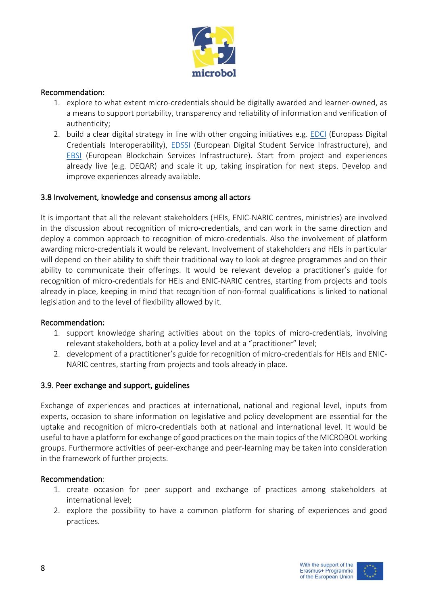

### Recommendation:

- 1. explore to what extent micro-credentials should be digitally awarded and learner-owned, as a means to support portability, transparency and reliability of information and verification of authenticity;
- 2. build a clear digital strategy in line with other ongoing initiatives e.g. [EDCI](https://europa.eu/europass/en/europass-digital-credentials-interoperability) (Europass Digital Credentials Interoperability), **[EDSSI](https://edssi.eu/)** (European Digital Student Service Infrastructure), and [EBSI](https://ec.europa.eu/cefdigital/wiki/display/CEFDIGITAL/EBSI) (European Blockchain Services Infrastructure). Start from project and experiences already live (e.g. DEQAR) and scale it up, taking inspiration for next steps. Develop and improve experiences already available.

### 3.8 Involvement, knowledge and consensus among all actors

It is important that all the relevant stakeholders (HEIs, ENIC-NARIC centres, ministries) are involved in the discussion about recognition of micro-credentials, and can work in the same direction and deploy a common approach to recognition of micro-credentials. Also the involvement of platform awarding micro-credentials it would be relevant. Involvement of stakeholders and HEIs in particular will depend on their ability to shift their traditional way to look at degree programmes and on their ability to communicate their offerings. It would be relevant develop a practitioner's guide for recognition of micro-credentials for HEIs and ENIC-NARIC centres, starting from projects and tools already in place, keeping in mind that recognition of non-formal qualifications is linked to national legislation and to the level of flexibility allowed by it.

### Recommendation:

- 1. support knowledge sharing activities about on the topics of micro-credentials, involving relevant stakeholders, both at a policy level and at a "practitioner" level;
- 2. development of a practitioner's guide for recognition of micro-credentials for HEIs and ENIC-NARIC centres, starting from projects and tools already in place.

### 3.9. Peer exchange and support, guidelines

Exchange of experiences and practices at international, national and regional level, inputs from experts, occasion to share information on legislative and policy development are essential for the uptake and recognition of micro-credentials both at national and international level. It would be useful to have a platform for exchange of good practices on the main topics of the MICROBOL working groups. Furthermore activities of peer-exchange and peer-learning may be taken into consideration in the framework of further projects.

### Recommendation:

- 1. create occasion for peer support and exchange of practices among stakeholders at international level;
- 2. explore the possibility to have a common platform for sharing of experiences and good practices.